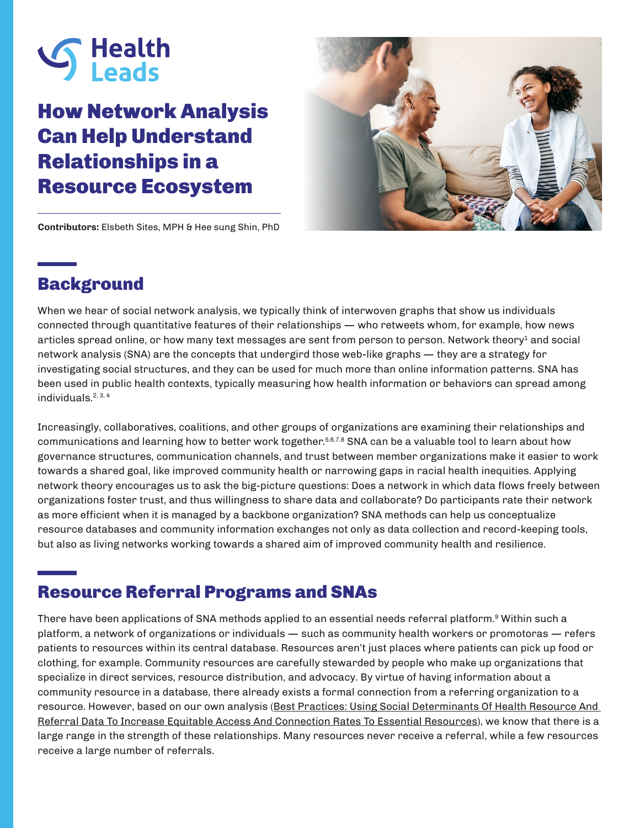

# How Network Analysis Can Help Understand Relationships in a Resource Ecosystem



**Contributors:** Elsbeth Sites, MPH & Hee sung Shin, PhD

## Background

When we hear of social network analysis, we typically think of interwoven graphs that show us individuals connected through quantitative features of their relationships — who retweets whom, for example, how news articles spread online, or how many text messages are sent from person to person. Network theory<sup>1</sup> and social network analysis (SNA) are the concepts that undergird those web-like graphs — they are a strategy for investigating social structures, and they can be used for much more than online information patterns. SNA has been used in public health contexts, typically measuring how health information or behaviors can spread among individuals.2, 3, 4

Increasingly, collaboratives, coalitions, and other groups of organizations are examining their relationships and communications and learning how to better work together.<sup>5,6,7,8</sup> SNA can be a valuable tool to learn about how governance structures, communication channels, and trust between member organizations make it easier to work towards a shared goal, like improved community health or narrowing gaps in racial health inequities. Applying network theory encourages us to ask the big-picture questions: Does a network in which data flows freely between organizations foster trust, and thus willingness to share data and collaborate? Do participants rate their network as more efficient when it is managed by a backbone organization? SNA methods can help us conceptualize resource databases and community information exchanges not only as data collection and record-keeping tools, but also as living networks working towards a shared aim of improved community health and resilience.

## Resource Referral Programs and SNAs

There have been applications of SNA methods applied to an essential needs referral platform.<sup>9</sup> Within such a platform, a network of organizations or individuals — such as community health workers or promotoras — refers patients to resources within its central database. Resources aren't just places where patients can pick up food or clothing, for example. Community resources are carefully stewarded by people who make up organizations that specialize in direct services, resource distribution, and advocacy. By virtue of having information about a community resource in a database, there already exists a formal connection from a referring organization to a resource. However, based on our own analysis ([Best Practices: Using Social Determinants Of Health Resource And](https://healthleadsusa.org/resources/health-resource-and-referral-data-to-increase-equitable-access-and-connections/)  [Referral Data To Increase Equitable Access And Connection Rates To Essential Resources\)](https://healthleadsusa.org/resources/health-resource-and-referral-data-to-increase-equitable-access-and-connections/), we know that there is a large range in the strength of these relationships. Many resources never receive a referral, while a few resources receive a large number of referrals.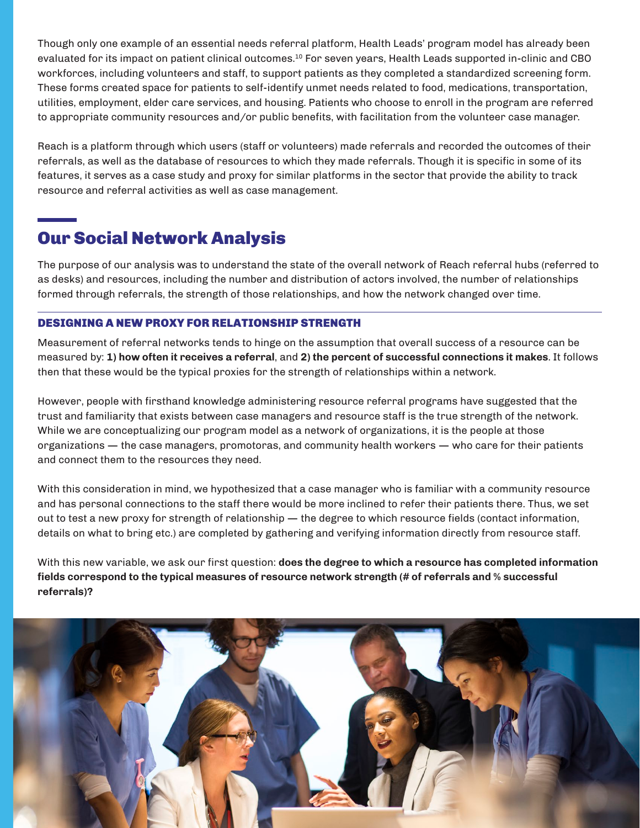Though only one example of an essential needs referral platform, Health Leads' program model has already been evaluated for its impact on patient clinical outcomes.10 For seven years, Health Leads supported in-clinic and CBO workforces, including volunteers and staff, to support patients as they completed a standardized screening form. These forms created space for patients to self-identify unmet needs related to food, medications, transportation, utilities, employment, elder care services, and housing. Patients who choose to enroll in the program are referred to appropriate community resources and/or public benefits, with facilitation from the volunteer case manager.

Reach is a platform through which users (staff or volunteers) made referrals and recorded the outcomes of their referrals, as well as the database of resources to which they made referrals. Though it is specific in some of its features, it serves as a case study and proxy for similar platforms in the sector that provide the ability to track resource and referral activities as well as case management.

# Our Social Network Analysis

The purpose of our analysis was to understand the state of the overall network of Reach referral hubs (referred to as desks) and resources, including the number and distribution of actors involved, the number of relationships formed through referrals, the strength of those relationships, and how the network changed over time.

### DESIGNING A NEW PROXY FOR RELATIONSHIP STRENGTH

Measurement of referral networks tends to hinge on the assumption that overall success of a resource can be measured by: **1) how often it receives a referral**, and **2) the percent of successful connections it makes**. It follows then that these would be the typical proxies for the strength of relationships within a network.

However, people with firsthand knowledge administering resource referral programs have suggested that the trust and familiarity that exists between case managers and resource staff is the true strength of the network. While we are conceptualizing our program model as a network of organizations, it is the people at those organizations — the case managers, promotoras, and community health workers — who care for their patients and connect them to the resources they need.

With this consideration in mind, we hypothesized that a case manager who is familiar with a community resource and has personal connections to the staff there would be more inclined to refer their patients there. Thus, we set out to test a new proxy for strength of relationship — the degree to which resource fields (contact information, details on what to bring etc.) are completed by gathering and verifying information directly from resource staff.

With this new variable, we ask our first question: **does the degree to which a resource has completed information fields correspond to the typical measures of resource network strength (# of referrals and % successful referrals)?**

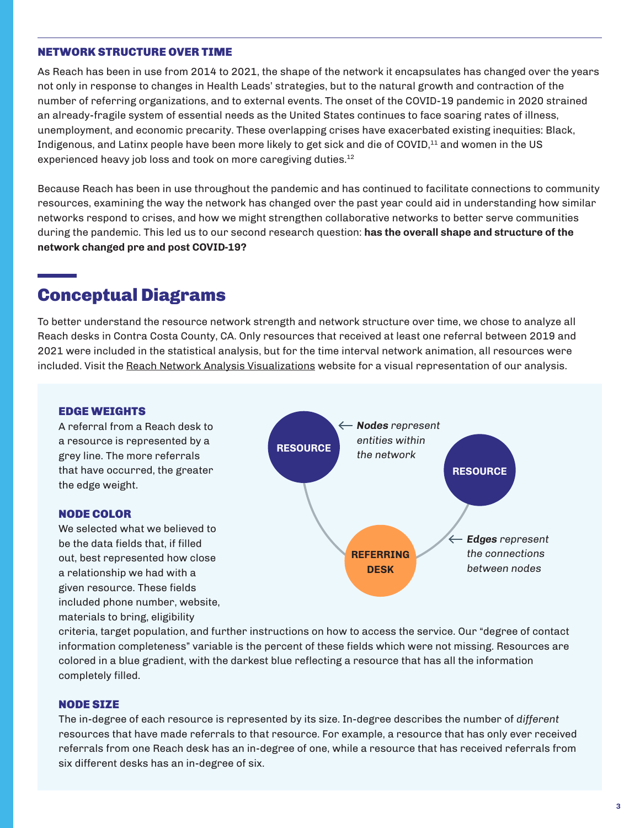#### NETWORK STRUCTURE OVER TIME

As Reach has been in use from 2014 to 2021, the shape of the network it encapsulates has changed over the years not only in response to changes in Health Leads' strategies, but to the natural growth and contraction of the number of referring organizations, and to external events. The onset of the COVID-19 pandemic in 2020 strained an already-fragile system of essential needs as the United States continues to face soaring rates of illness, unemployment, and economic precarity. These overlapping crises have exacerbated existing inequities: Black, Indigenous, and Latinx people have been more likely to get sick and die of COVID,<sup>11</sup> and women in the US experienced heavy job loss and took on more caregiving duties.<sup>12</sup>

Because Reach has been in use throughout the pandemic and has continued to facilitate connections to community resources, examining the way the network has changed over the past year could aid in understanding how similar networks respond to crises, and how we might strengthen collaborative networks to better serve communities during the pandemic. This led us to our second research question: **has the overall shape and structure of the network changed pre and post COVID-19?**

## Conceptual Diagrams

To better understand the resource network strength and network structure over time, we chose to analyze all Reach desks in Contra Costa County, CA. Only resources that received at least one referral between 2019 and 2021 were included in the statistical analysis, but for the time interval network animation, all resources were included. Visit the [Reach Network Analysis Visualizations](https://esites471.github.io/Reach-network-analysis/network2/) website for a visual representation of our analysis.

#### EDGE WEIGHTS

A referral from a Reach desk to a resource is represented by a grey line. The more referrals that have occurred, the greater the edge weight.

#### NODE COLOR

We selected what we believed to be the data fields that, if filled out, best represented how close a relationship we had with a given resource. These fields included phone number, website, materials to bring, eligibility



criteria, target population, and further instructions on how to access the service. Our "degree of contact information completeness" variable is the percent of these fields which were not missing. Resources are colored in a blue gradient, with the darkest blue reflecting a resource that has all the information completely filled.

#### NODE SIZE

The in-degree of each resource is represented by its size. In-degree describes the number of *different* resources that have made referrals to that resource. For example, a resource that has only ever received referrals from one Reach desk has an in-degree of one, while a resource that has received referrals from six different desks has an in-degree of six.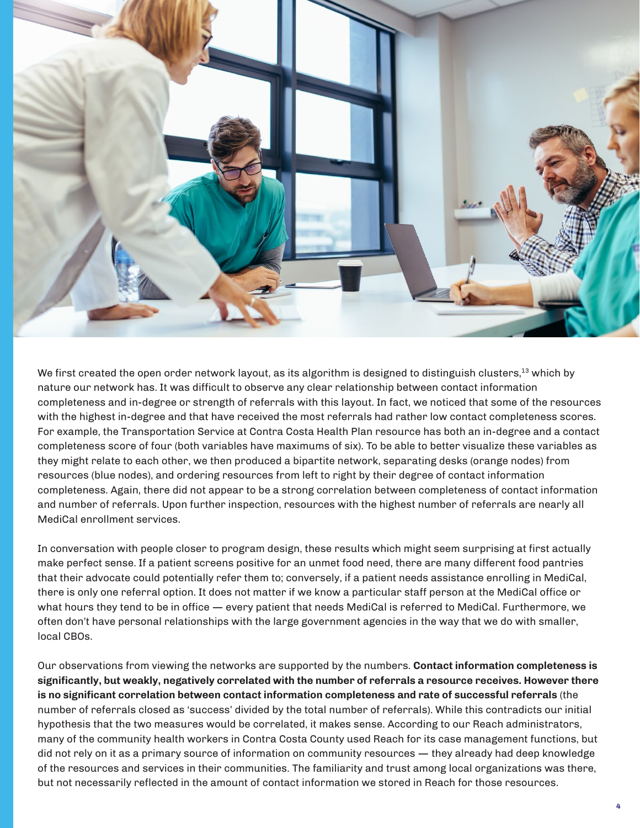

We first created the open order network layout, as its algorithm is designed to distinguish clusters,<sup>13</sup> which by nature our network has. It was difficult to observe any clear relationship between contact information completeness and in-degree or strength of referrals with this layout. In fact, we noticed that some of the resources with the highest in-degree and that have received the most referrals had rather low contact completeness scores. For example, the Transportation Service at Contra Costa Health Plan resource has both an in-degree and a contact completeness score of four (both variables have maximums of six). To be able to better visualize these variables as they might relate to each other, we then produced a bipartite network, separating desks (orange nodes) from resources (blue nodes), and ordering resources from left to right by their degree of contact information completeness. Again, there did not appear to be a strong correlation between completeness of contact information and number of referrals. Upon further inspection, resources with the highest number of referrals are nearly all MediCal enrollment services.

In conversation with people closer to program design, these results which might seem surprising at first actually make perfect sense. If a patient screens positive for an unmet food need, there are many different food pantries that their advocate could potentially refer them to; conversely, if a patient needs assistance enrolling in MediCal, there is only one referral option. It does not matter if we know a particular staff person at the MediCal office or what hours they tend to be in office — every patient that needs MediCal is referred to MediCal. Furthermore, we often don't have personal relationships with the large government agencies in the way that we do with smaller, local CBOs.

Our observations from viewing the networks are supported by the numbers. **Contact information completeness is significantly, but weakly, negatively correlated with the number of referrals a resource receives. However there is no significant correlation between contact information completeness and rate of successful referrals** (the number of referrals closed as 'success' divided by the total number of referrals). While this contradicts our initial hypothesis that the two measures would be correlated, it makes sense. According to our Reach administrators, many of the community health workers in Contra Costa County used Reach for its case management functions, but did not rely on it as a primary source of information on community resources — they already had deep knowledge of the resources and services in their communities. The familiarity and trust among local organizations was there, but not necessarily reflected in the amount of contact information we stored in Reach for those resources.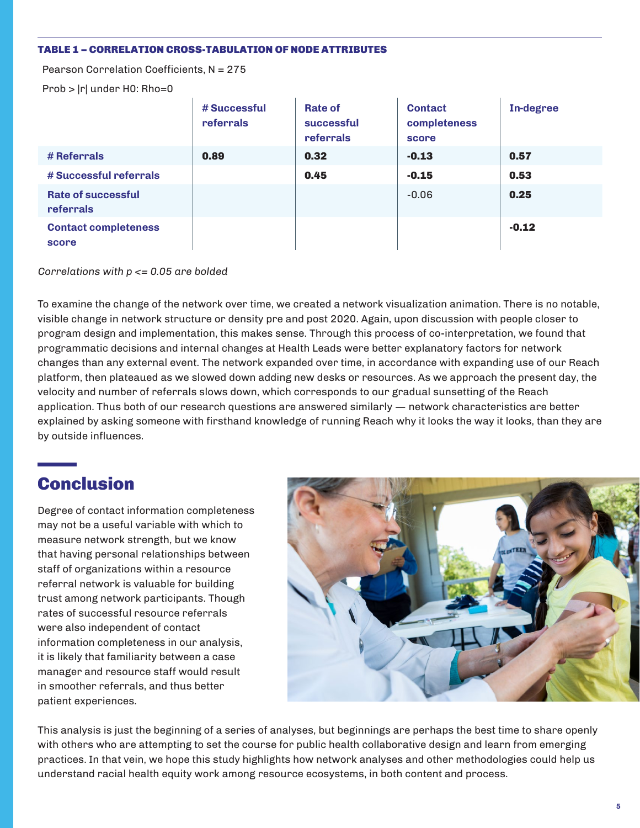#### TABLE 1 – CORRELATION CROSS-TABULATION OF NODE ATTRIBUTES

Pearson Correlation Coefficients, N = 275

Prob > |r| under H0: Rho=0

|                                      | # Successful<br>referrals | <b>Rate of</b><br>successful<br>referrals | <b>Contact</b><br>completeness<br>score | In-degree |
|--------------------------------------|---------------------------|-------------------------------------------|-----------------------------------------|-----------|
| # Referrals                          | 0.89                      | 0.32                                      | $-0.13$                                 | 0.57      |
| # Successful referrals               |                           | 0.45                                      | $-0.15$                                 | 0.53      |
| Rate of successful<br>referrals      |                           |                                           | $-0.06$                                 | 0.25      |
| <b>Contact completeness</b><br>score |                           |                                           |                                         | $-0.12$   |

*Correlations with p <= 0.05 are bolded*

To examine the change of the network over time, we created a network visualization animation. There is no notable, visible change in network structure or density pre and post 2020. Again, upon discussion with people closer to program design and implementation, this makes sense. Through this process of co-interpretation, we found that programmatic decisions and internal changes at Health Leads were better explanatory factors for network changes than any external event. The network expanded over time, in accordance with expanding use of our Reach platform, then plateaued as we slowed down adding new desks or resources. As we approach the present day, the velocity and number of referrals slows down, which corresponds to our gradual sunsetting of the Reach application. Thus both of our research questions are answered similarly — network characteristics are better explained by asking someone with firsthand knowledge of running Reach why it looks the way it looks, than they are by outside influences.

# **Conclusion**

Degree of contact information completeness may not be a useful variable with which to measure network strength, but we know that having personal relationships between staff of organizations within a resource referral network is valuable for building trust among network participants. Though rates of successful resource referrals were also independent of contact information completeness in our analysis, it is likely that familiarity between a case manager and resource staff would result in smoother referrals, and thus better patient experiences.



This analysis is just the beginning of a series of analyses, but beginnings are perhaps the best time to share openly with others who are attempting to set the course for public health collaborative design and learn from emerging practices. In that vein, we hope this study highlights how network analyses and other methodologies could help us understand racial health equity work among resource ecosystems, in both content and process.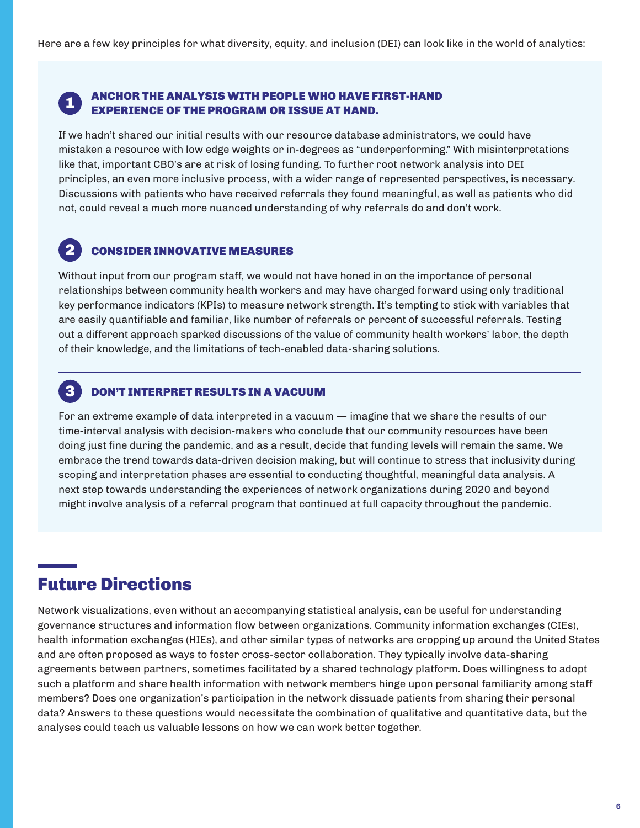# 1

2

3

### ANCHOR THE ANALYSIS WITH PEOPLE WHO HAVE FIRST-HAND EXPERIENCE OF THE PROGRAM OR ISSUE AT HAND.

If we hadn't shared our initial results with our resource database administrators, we could have mistaken a resource with low edge weights or in-degrees as "underperforming." With misinterpretations like that, important CBO's are at risk of losing funding. To further root network analysis into DEI principles, an even more inclusive process, with a wider range of represented perspectives, is necessary. Discussions with patients who have received referrals they found meaningful, as well as patients who did not, could reveal a much more nuanced understanding of why referrals do and don't work.

### CONSIDER INNOVATIVE MEASURES

Without input from our program staff, we would not have honed in on the importance of personal relationships between community health workers and may have charged forward using only traditional key performance indicators (KPIs) to measure network strength. It's tempting to stick with variables that are easily quantifiable and familiar, like number of referrals or percent of successful referrals. Testing out a different approach sparked discussions of the value of community health workers' labor, the depth of their knowledge, and the limitations of tech-enabled data-sharing solutions.

### DON'T INTERPRET RESULTS IN A VACUUM

For an extreme example of data interpreted in a vacuum — imagine that we share the results of our time-interval analysis with decision-makers who conclude that our community resources have been doing just fine during the pandemic, and as a result, decide that funding levels will remain the same. We embrace the trend towards data-driven decision making, but will continue to stress that inclusivity during scoping and interpretation phases are essential to conducting thoughtful, meaningful data analysis. A next step towards understanding the experiences of network organizations during 2020 and beyond might involve analysis of a referral program that continued at full capacity throughout the pandemic.

## Future Directions

Network visualizations, even without an accompanying statistical analysis, can be useful for understanding governance structures and information flow between organizations. Community information exchanges (CIEs), health information exchanges (HIEs), and other similar types of networks are cropping up around the United States and are often proposed as ways to foster cross-sector collaboration. They typically involve data-sharing agreements between partners, sometimes facilitated by a shared technology platform. Does willingness to adopt such a platform and share health information with network members hinge upon personal familiarity among staff members? Does one organization's participation in the network dissuade patients from sharing their personal data? Answers to these questions would necessitate the combination of qualitative and quantitative data, but the analyses could teach us valuable lessons on how we can work better together.